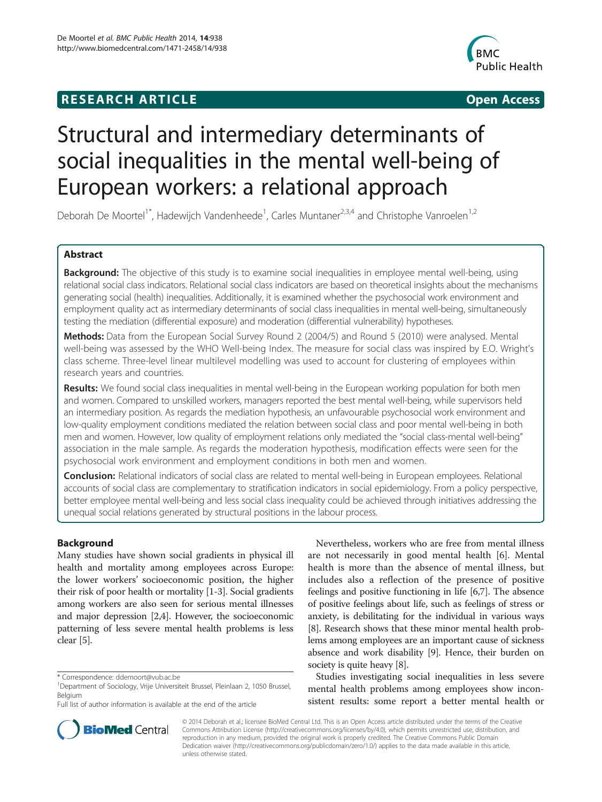## **RESEARCH ARTICLE Example 2014 12:30 The SEAR CHA R TIGGS**



# Structural and intermediary determinants of social inequalities in the mental well-being of European workers: a relational approach

Deborah De Moortel<sup>1\*</sup>, Hadewijch Vandenheede<sup>1</sup>, Carles Muntaner<sup>2,3,4</sup> and Christophe Vanroelen<sup>1,2</sup>

## Abstract

Background: The objective of this study is to examine social inequalities in employee mental well-being, using relational social class indicators. Relational social class indicators are based on theoretical insights about the mechanisms generating social (health) inequalities. Additionally, it is examined whether the psychosocial work environment and employment quality act as intermediary determinants of social class inequalities in mental well-being, simultaneously testing the mediation (differential exposure) and moderation (differential vulnerability) hypotheses.

Methods: Data from the European Social Survey Round 2 (2004/5) and Round 5 (2010) were analysed. Mental well-being was assessed by the WHO Well-being Index. The measure for social class was inspired by E.O. Wright's class scheme. Three-level linear multilevel modelling was used to account for clustering of employees within research years and countries.

Results: We found social class inequalities in mental well-being in the European working population for both men and women. Compared to unskilled workers, managers reported the best mental well-being, while supervisors held an intermediary position. As regards the mediation hypothesis, an unfavourable psychosocial work environment and low-quality employment conditions mediated the relation between social class and poor mental well-being in both men and women. However, low quality of employment relations only mediated the "social class-mental well-being" association in the male sample. As regards the moderation hypothesis, modification effects were seen for the psychosocial work environment and employment conditions in both men and women.

**Conclusion:** Relational indicators of social class are related to mental well-being in European employees. Relational accounts of social class are complementary to stratification indicators in social epidemiology. From a policy perspective, better employee mental well-being and less social class inequality could be achieved through initiatives addressing the unequal social relations generated by structural positions in the labour process.

## Background

Many studies have shown social gradients in physical ill health and mortality among employees across Europe: the lower workers' socioeconomic position, the higher their risk of poor health or mortality [\[1-3](#page-11-0)]. Social gradients among workers are also seen for serious mental illnesses and major depression [\[2,4](#page-11-0)]. However, the socioeconomic patterning of less severe mental health problems is less clear [\[5](#page-11-0)].

Nevertheless, workers who are free from mental illness are not necessarily in good mental health [\[6](#page-11-0)]. Mental health is more than the absence of mental illness, but includes also a reflection of the presence of positive feelings and positive functioning in life [\[6,7\]](#page-11-0). The absence of positive feelings about life, such as feelings of stress or anxiety, is debilitating for the individual in various ways [[8\]](#page-11-0). Research shows that these minor mental health problems among employees are an important cause of sickness absence and work disability [\[9](#page-11-0)]. Hence, their burden on society is quite heavy [\[8](#page-11-0)].

Studies investigating social inequalities in less severe mental health problems among employees show inconsistent results: some report a better mental health or



© 2014 Deborah et al.; licensee BioMed Central Ltd. This is an Open Access article distributed under the terms of the Creative Commons Attribution License [\(http://creativecommons.org/licenses/by/4.0\)](http://creativecommons.org/licenses/by/4.0), which permits unrestricted use, distribution, and reproduction in any medium, provided the original work is properly credited. The Creative Commons Public Domain Dedication waiver [\(http://creativecommons.org/publicdomain/zero/1.0/](http://creativecommons.org/publicdomain/zero/1.0/)) applies to the data made available in this article, unless otherwise stated.

<sup>\*</sup> Correspondence: [ddemoort@vub.ac.be](mailto:ddemoort@vub.ac.be) <sup>1</sup>

<sup>&</sup>lt;sup>1</sup>Department of Sociology, Vrije Universiteit Brussel, Pleinlaan 2, 1050 Brussel, Belgium

Full list of author information is available at the end of the article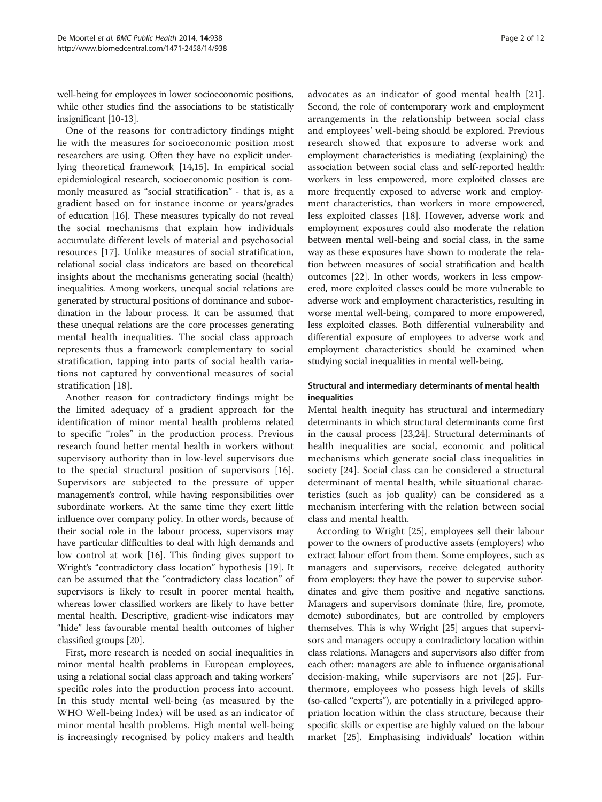well-being for employees in lower socioeconomic positions, while other studies find the associations to be statistically insignificant [[10-13\]](#page-11-0).

One of the reasons for contradictory findings might lie with the measures for socioeconomic position most researchers are using. Often they have no explicit underlying theoretical framework [\[14,15\]](#page-11-0). In empirical social epidemiological research, socioeconomic position is commonly measured as "social stratification" - that is, as a gradient based on for instance income or years/grades of education [[16](#page-11-0)]. These measures typically do not reveal the social mechanisms that explain how individuals accumulate different levels of material and psychosocial resources [\[17](#page-11-0)]. Unlike measures of social stratification, relational social class indicators are based on theoretical insights about the mechanisms generating social (health) inequalities. Among workers, unequal social relations are generated by structural positions of dominance and subordination in the labour process. It can be assumed that these unequal relations are the core processes generating mental health inequalities. The social class approach represents thus a framework complementary to social stratification, tapping into parts of social health variations not captured by conventional measures of social stratification [\[18](#page-11-0)].

Another reason for contradictory findings might be the limited adequacy of a gradient approach for the identification of minor mental health problems related to specific "roles" in the production process. Previous research found better mental health in workers without supervisory authority than in low-level supervisors due to the special structural position of supervisors [\[16](#page-11-0)]. Supervisors are subjected to the pressure of upper management's control, while having responsibilities over subordinate workers. At the same time they exert little influence over company policy. In other words, because of their social role in the labour process, supervisors may have particular difficulties to deal with high demands and low control at work [[16](#page-11-0)]. This finding gives support to Wright's "contradictory class location" hypothesis [[19](#page-11-0)]. It can be assumed that the "contradictory class location" of supervisors is likely to result in poorer mental health, whereas lower classified workers are likely to have better mental health. Descriptive, gradient-wise indicators may "hide" less favourable mental health outcomes of higher classified groups [\[20\]](#page-11-0).

First, more research is needed on social inequalities in minor mental health problems in European employees, using a relational social class approach and taking workers' specific roles into the production process into account. In this study mental well-being (as measured by the WHO Well-being Index) will be used as an indicator of minor mental health problems. High mental well-being is increasingly recognised by policy makers and health

advocates as an indicator of good mental health [\[21](#page-11-0)]. Second, the role of contemporary work and employment arrangements in the relationship between social class and employees' well-being should be explored. Previous research showed that exposure to adverse work and employment characteristics is mediating (explaining) the association between social class and self-reported health: workers in less empowered, more exploited classes are more frequently exposed to adverse work and employment characteristics, than workers in more empowered, less exploited classes [[18](#page-11-0)]. However, adverse work and employment exposures could also moderate the relation between mental well-being and social class, in the same way as these exposures have shown to moderate the relation between measures of social stratification and health outcomes [[22\]](#page-11-0). In other words, workers in less empowered, more exploited classes could be more vulnerable to adverse work and employment characteristics, resulting in worse mental well-being, compared to more empowered, less exploited classes. Both differential vulnerability and differential exposure of employees to adverse work and employment characteristics should be examined when studying social inequalities in mental well-being.

## Structural and intermediary determinants of mental health inequalities

Mental health inequity has structural and intermediary determinants in which structural determinants come first in the causal process [\[23,24](#page-11-0)]. Structural determinants of health inequalities are social, economic and political mechanisms which generate social class inequalities in society [[24\]](#page-11-0). Social class can be considered a structural determinant of mental health, while situational characteristics (such as job quality) can be considered as a mechanism interfering with the relation between social class and mental health.

According to Wright [\[25](#page-11-0)], employees sell their labour power to the owners of productive assets (employers) who extract labour effort from them. Some employees, such as managers and supervisors, receive delegated authority from employers: they have the power to supervise subordinates and give them positive and negative sanctions. Managers and supervisors dominate (hire, fire, promote, demote) subordinates, but are controlled by employers themselves. This is why Wright [[25](#page-11-0)] argues that supervisors and managers occupy a contradictory location within class relations. Managers and supervisors also differ from each other: managers are able to influence organisational decision-making, while supervisors are not [\[25](#page-11-0)]. Furthermore, employees who possess high levels of skills (so-called "experts"), are potentially in a privileged appropriation location within the class structure, because their specific skills or expertise are highly valued on the labour market [\[25\]](#page-11-0). Emphasising individuals' location within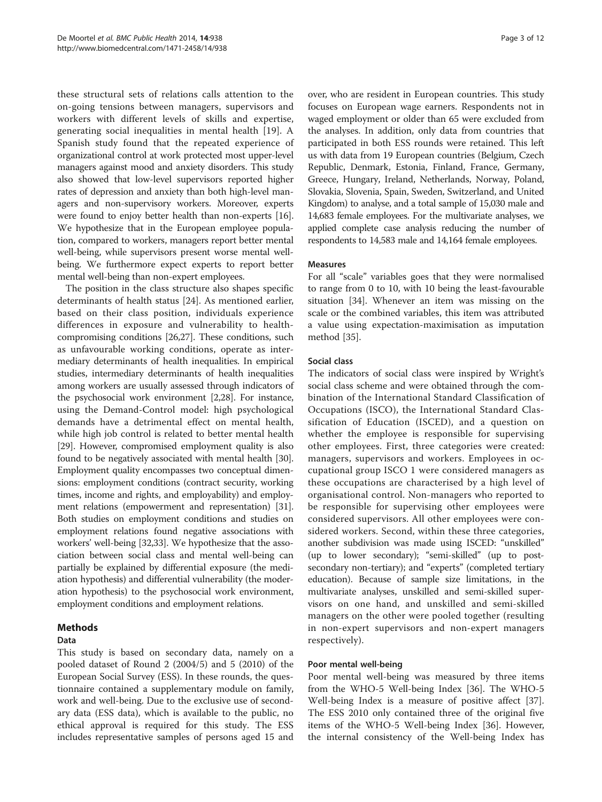these structural sets of relations calls attention to the on-going tensions between managers, supervisors and workers with different levels of skills and expertise, generating social inequalities in mental health [[19\]](#page-11-0). A Spanish study found that the repeated experience of organizational control at work protected most upper-level managers against mood and anxiety disorders. This study also showed that low-level supervisors reported higher rates of depression and anxiety than both high-level managers and non-supervisory workers. Moreover, experts were found to enjoy better health than non-experts [[16](#page-11-0)]. We hypothesize that in the European employee population, compared to workers, managers report better mental well-being, while supervisors present worse mental wellbeing. We furthermore expect experts to report better mental well-being than non-expert employees.

The position in the class structure also shapes specific determinants of health status [[24\]](#page-11-0). As mentioned earlier, based on their class position, individuals experience differences in exposure and vulnerability to healthcompromising conditions [[26,27\]](#page-11-0). These conditions, such as unfavourable working conditions, operate as intermediary determinants of health inequalities. In empirical studies, intermediary determinants of health inequalities among workers are usually assessed through indicators of the psychosocial work environment [\[2,28\]](#page-11-0). For instance, using the Demand-Control model: high psychological demands have a detrimental effect on mental health, while high job control is related to better mental health [[29](#page-11-0)]. However, compromised employment quality is also found to be negatively associated with mental health [[30](#page-11-0)]. Employment quality encompasses two conceptual dimensions: employment conditions (contract security, working times, income and rights, and employability) and employment relations (empowerment and representation) [[31](#page-11-0)]. Both studies on employment conditions and studies on employment relations found negative associations with workers' well-being [\[32,33\]](#page-11-0). We hypothesize that the association between social class and mental well-being can partially be explained by differential exposure (the mediation hypothesis) and differential vulnerability (the moderation hypothesis) to the psychosocial work environment, employment conditions and employment relations.

## Methods

## Data

This study is based on secondary data, namely on a pooled dataset of Round 2 (2004/5) and 5 (2010) of the European Social Survey (ESS). In these rounds, the questionnaire contained a supplementary module on family, work and well-being. Due to the exclusive use of secondary data (ESS data), which is available to the public, no ethical approval is required for this study. The ESS includes representative samples of persons aged 15 and over, who are resident in European countries. This study focuses on European wage earners. Respondents not in waged employment or older than 65 were excluded from the analyses. In addition, only data from countries that participated in both ESS rounds were retained. This left us with data from 19 European countries (Belgium, Czech Republic, Denmark, Estonia, Finland, France, Germany, Greece, Hungary, Ireland, Netherlands, Norway, Poland, Slovakia, Slovenia, Spain, Sweden, Switzerland, and United Kingdom) to analyse, and a total sample of 15,030 male and 14,683 female employees. For the multivariate analyses, we applied complete case analysis reducing the number of respondents to 14,583 male and 14,164 female employees.

#### Measures

For all "scale" variables goes that they were normalised to range from 0 to 10, with 10 being the least-favourable situation [\[34](#page-11-0)]. Whenever an item was missing on the scale or the combined variables, this item was attributed a value using expectation-maximisation as imputation method [\[35](#page-11-0)].

## Social class

The indicators of social class were inspired by Wright's social class scheme and were obtained through the combination of the International Standard Classification of Occupations (ISCO), the International Standard Classification of Education (ISCED), and a question on whether the employee is responsible for supervising other employees. First, three categories were created: managers, supervisors and workers. Employees in occupational group ISCO 1 were considered managers as these occupations are characterised by a high level of organisational control. Non-managers who reported to be responsible for supervising other employees were considered supervisors. All other employees were considered workers. Second, within these three categories, another subdivision was made using ISCED: "unskilled" (up to lower secondary); "semi-skilled" (up to postsecondary non-tertiary); and "experts" (completed tertiary education). Because of sample size limitations, in the multivariate analyses, unskilled and semi-skilled supervisors on one hand, and unskilled and semi-skilled managers on the other were pooled together (resulting in non-expert supervisors and non-expert managers respectively).

#### Poor mental well-being

Poor mental well-being was measured by three items from the WHO-5 Well-being Index [[36\]](#page-11-0). The WHO-5 Well-being Index is a measure of positive affect [\[37](#page-11-0)]. The ESS 2010 only contained three of the original five items of the WHO-5 Well-being Index [[36\]](#page-11-0). However, the internal consistency of the Well-being Index has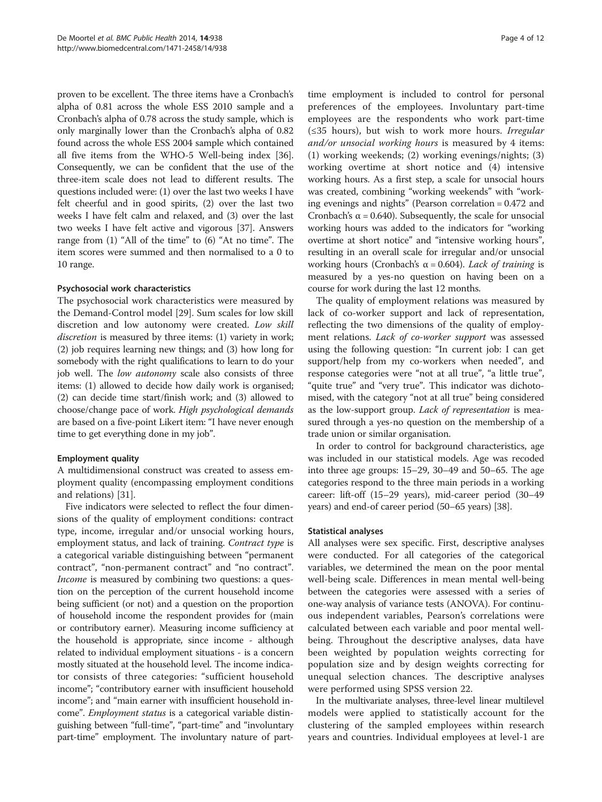proven to be excellent. The three items have a Cronbach's alpha of 0.81 across the whole ESS 2010 sample and a Cronbach's alpha of 0.78 across the study sample, which is only marginally lower than the Cronbach's alpha of 0.82 found across the whole ESS 2004 sample which contained all five items from the WHO-5 Well-being index [[36](#page-11-0)]. Consequently, we can be confident that the use of the three-item scale does not lead to different results. The questions included were: (1) over the last two weeks I have felt cheerful and in good spirits, (2) over the last two weeks I have felt calm and relaxed, and (3) over the last two weeks I have felt active and vigorous [\[37\]](#page-11-0). Answers range from (1) "All of the time" to (6) "At no time". The item scores were summed and then normalised to a 0 to 10 range.

#### Psychosocial work characteristics

The psychosocial work characteristics were measured by the Demand-Control model [[29\]](#page-11-0). Sum scales for low skill discretion and low autonomy were created. Low skill discretion is measured by three items: (1) variety in work; (2) job requires learning new things; and (3) how long for somebody with the right qualifications to learn to do your job well. The low autonomy scale also consists of three items: (1) allowed to decide how daily work is organised; (2) can decide time start/finish work; and (3) allowed to choose/change pace of work. High psychological demands are based on a five-point Likert item: "I have never enough time to get everything done in my job".

## Employment quality

A multidimensional construct was created to assess employment quality (encompassing employment conditions and relations) [[31\]](#page-11-0).

Five indicators were selected to reflect the four dimensions of the quality of employment conditions: contract type, income, irregular and/or unsocial working hours, employment status, and lack of training. Contract type is a categorical variable distinguishing between "permanent contract", "non-permanent contract" and "no contract". Income is measured by combining two questions: a question on the perception of the current household income being sufficient (or not) and a question on the proportion of household income the respondent provides for (main or contributory earner). Measuring income sufficiency at the household is appropriate, since income - although related to individual employment situations - is a concern mostly situated at the household level. The income indicator consists of three categories: "sufficient household income"; "contributory earner with insufficient household income"; and "main earner with insufficient household income". Employment status is a categorical variable distinguishing between "full-time", "part-time" and "involuntary part-time" employment. The involuntary nature of part-

time employment is included to control for personal preferences of the employees. Involuntary part-time employees are the respondents who work part-time (≤35 hours), but wish to work more hours. Irregular and/or unsocial working hours is measured by 4 items: (1) working weekends; (2) working evenings/nights; (3) working overtime at short notice and (4) intensive working hours. As a first step, a scale for unsocial hours was created, combining "working weekends" with "working evenings and nights" (Pearson correlation = 0.472 and Cronbach's  $\alpha$  = 0.640). Subsequently, the scale for unsocial working hours was added to the indicators for "working overtime at short notice" and "intensive working hours", resulting in an overall scale for irregular and/or unsocial working hours (Cronbach's  $\alpha$  = 0.604). Lack of training is measured by a yes-no question on having been on a course for work during the last 12 months.

The quality of employment relations was measured by lack of co-worker support and lack of representation, reflecting the two dimensions of the quality of employment relations. Lack of co-worker support was assessed using the following question: "In current job: I can get support/help from my co-workers when needed", and response categories were "not at all true", "a little true", "quite true" and "very true". This indicator was dichotomised, with the category "not at all true" being considered as the low-support group. Lack of representation is measured through a yes-no question on the membership of a trade union or similar organisation.

In order to control for background characteristics, age was included in our statistical models. Age was recoded into three age groups: 15–29, 30–49 and 50–65. The age categories respond to the three main periods in a working career: lift-off (15–29 years), mid-career period (30–49 years) and end-of career period (50–65 years) [\[38\]](#page-11-0).

#### Statistical analyses

All analyses were sex specific. First, descriptive analyses were conducted. For all categories of the categorical variables, we determined the mean on the poor mental well-being scale. Differences in mean mental well-being between the categories were assessed with a series of one-way analysis of variance tests (ANOVA). For continuous independent variables, Pearson's correlations were calculated between each variable and poor mental wellbeing. Throughout the descriptive analyses, data have been weighted by population weights correcting for population size and by design weights correcting for unequal selection chances. The descriptive analyses were performed using SPSS version 22.

In the multivariate analyses, three-level linear multilevel models were applied to statistically account for the clustering of the sampled employees within research years and countries. Individual employees at level-1 are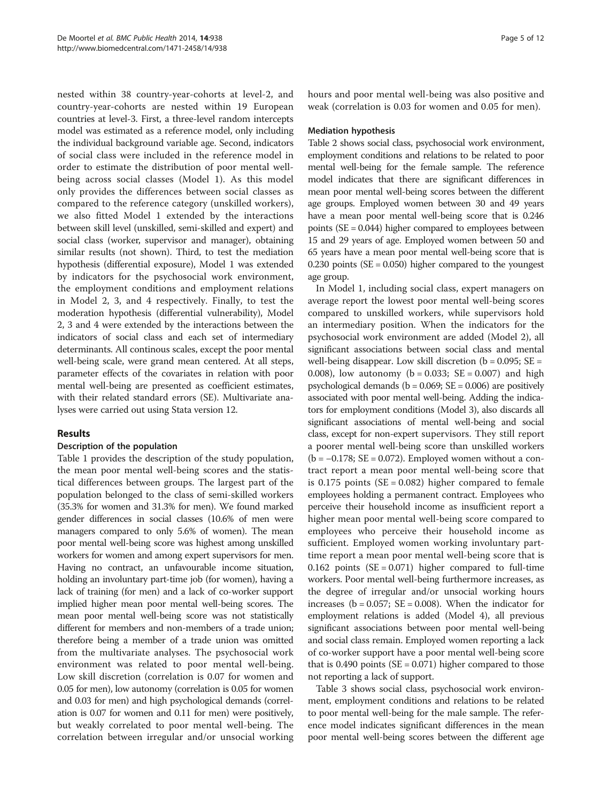nested within 38 country-year-cohorts at level-2, and country-year-cohorts are nested within 19 European countries at level-3. First, a three-level random intercepts model was estimated as a reference model, only including the individual background variable age. Second, indicators of social class were included in the reference model in order to estimate the distribution of poor mental wellbeing across social classes (Model 1). As this model only provides the differences between social classes as compared to the reference category (unskilled workers), we also fitted Model 1 extended by the interactions between skill level (unskilled, semi-skilled and expert) and social class (worker, supervisor and manager), obtaining similar results (not shown). Third, to test the mediation hypothesis (differential exposure), Model 1 was extended by indicators for the psychosocial work environment, the employment conditions and employment relations in Model 2, 3, and 4 respectively. Finally, to test the moderation hypothesis (differential vulnerability), Model 2, 3 and 4 were extended by the interactions between the indicators of social class and each set of intermediary determinants. All continous scales, except the poor mental well-being scale, were grand mean centered. At all steps, parameter effects of the covariates in relation with poor mental well-being are presented as coefficient estimates, with their related standard errors (SE). Multivariate analyses were carried out using Stata version 12.

## Results

## Description of the population

Table [1](#page-5-0) provides the description of the study population, the mean poor mental well-being scores and the statistical differences between groups. The largest part of the population belonged to the class of semi-skilled workers (35.3% for women and 31.3% for men). We found marked gender differences in social classes (10.6% of men were managers compared to only 5.6% of women). The mean poor mental well-being score was highest among unskilled workers for women and among expert supervisors for men. Having no contract, an unfavourable income situation, holding an involuntary part-time job (for women), having a lack of training (for men) and a lack of co-worker support implied higher mean poor mental well-being scores. The mean poor mental well-being score was not statistically different for members and non-members of a trade union; therefore being a member of a trade union was omitted from the multivariate analyses. The psychosocial work environment was related to poor mental well-being. Low skill discretion (correlation is 0.07 for women and 0.05 for men), low autonomy (correlation is 0.05 for women and 0.03 for men) and high psychological demands (correlation is 0.07 for women and 0.11 for men) were positively, but weakly correlated to poor mental well-being. The correlation between irregular and/or unsocial working hours and poor mental well-being was also positive and weak (correlation is 0.03 for women and 0.05 for men).

#### Mediation hypothesis

Table [2](#page-7-0) shows social class, psychosocial work environment, employment conditions and relations to be related to poor mental well-being for the female sample. The reference model indicates that there are significant differences in mean poor mental well-being scores between the different age groups. Employed women between 30 and 49 years have a mean poor mental well-being score that is 0.246 points (SE = 0.044) higher compared to employees between 15 and 29 years of age. Employed women between 50 and 65 years have a mean poor mental well-being score that is 0.230 points  $(SE = 0.050)$  higher compared to the youngest age group.

In Model 1, including social class, expert managers on average report the lowest poor mental well-being scores compared to unskilled workers, while supervisors hold an intermediary position. When the indicators for the psychosocial work environment are added (Model 2), all significant associations between social class and mental well-being disappear. Low skill discretion ( $b = 0.095$ ; SE = 0.008), low autonomy ( $b = 0.033$ ; SE = 0.007) and high psychological demands ( $b = 0.069$ ;  $SE = 0.006$ ) are positively associated with poor mental well-being. Adding the indicators for employment conditions (Model 3), also discards all significant associations of mental well-being and social class, except for non-expert supervisors. They still report a poorer mental well-being score than unskilled workers  $(b = -0.178; SE = 0.072)$ . Employed women without a contract report a mean poor mental well-being score that is  $0.175$  points (SE = 0.082) higher compared to female employees holding a permanent contract. Employees who perceive their household income as insufficient report a higher mean poor mental well-being score compared to employees who perceive their household income as sufficient. Employed women working involuntary parttime report a mean poor mental well-being score that is 0.162 points  $(SE = 0.071)$  higher compared to full-time workers. Poor mental well-being furthermore increases, as the degree of irregular and/or unsocial working hours increases ( $b = 0.057$ ;  $SE = 0.008$ ). When the indicator for employment relations is added (Model 4), all previous significant associations between poor mental well-being and social class remain. Employed women reporting a lack of co-worker support have a poor mental well-being score that is  $0.490$  points (SE = 0.071) higher compared to those not reporting a lack of support.

Table [3](#page-8-0) shows social class, psychosocial work environment, employment conditions and relations to be related to poor mental well-being for the male sample. The reference model indicates significant differences in the mean poor mental well-being scores between the different age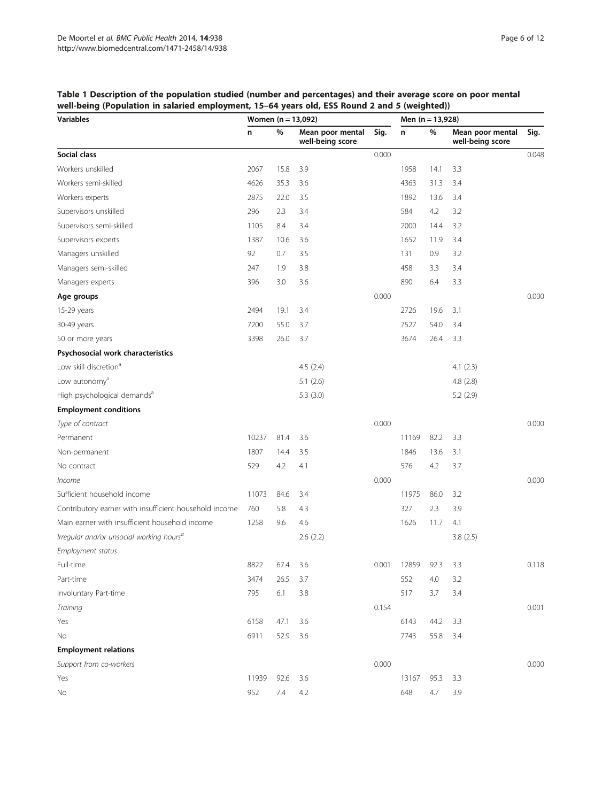## <span id="page-5-0"></span>Table 1 Description of the population studied (number and percentages) and their average score on poor mental well-being (Population in salaried employment, 15–64 years old, ESS Round 2 and 5 (weighted))

| <b>Variables</b>                                       | Women $(n = 13,092)$ |      |                                      |       | Men (n = 13,928) |      |                                      |       |
|--------------------------------------------------------|----------------------|------|--------------------------------------|-------|------------------|------|--------------------------------------|-------|
|                                                        | n                    | %    | Mean poor mental<br>well-being score | Sig.  | n                | %    | Mean poor mental<br>well-being score | Sig.  |
| Social class                                           |                      |      |                                      | 0.000 |                  |      |                                      | 0.048 |
| Workers unskilled                                      | 2067                 | 15.8 | 3.9                                  |       | 1958             | 14.1 | 3.3                                  |       |
| Workers semi-skilled                                   | 4626                 | 35.3 | 3.6                                  |       | 4363             | 31.3 | 3.4                                  |       |
| Workers experts                                        | 2875                 | 22.0 | 3.5                                  |       | 1892             | 13.6 | 3.4                                  |       |
| Supervisors unskilled                                  | 296                  | 2.3  | 3.4                                  |       | 584              | 4.2  | 3.2                                  |       |
| Supervisors semi-skilled                               | 1105                 | 8.4  | 3.4                                  |       | 2000             | 14.4 | 3.2                                  |       |
| Supervisors experts                                    | 1387                 | 10.6 | 3.6                                  |       | 1652             | 11.9 | 3.4                                  |       |
| Managers unskilled                                     | 92                   | 0.7  | 3.5                                  |       | 131              | 0.9  | 3.2                                  |       |
| Managers semi-skilled                                  | 247                  | 1.9  | 3.8                                  |       | 458              | 3.3  | 3.4                                  |       |
| Managers experts                                       | 396                  | 3.0  | 3.6                                  |       | 890              | 6.4  | 3.3                                  |       |
| Age groups                                             |                      |      |                                      | 0.000 |                  |      |                                      | 0.000 |
| 15-29 years                                            | 2494                 | 19.1 | 3.4                                  |       | 2726             | 19.6 | 3.1                                  |       |
| 30-49 years                                            | 7200                 | 55.0 | 3.7                                  |       | 7527             | 54.0 | 3.4                                  |       |
| 50 or more years                                       | 3398                 | 26.0 | 3.7                                  |       | 3674             | 26.4 | 3.3                                  |       |
| Psychosocial work characteristics                      |                      |      |                                      |       |                  |      |                                      |       |
| Low skill discretion <sup>a</sup>                      |                      |      | 4.5(2.4)                             |       |                  |      | 4.1(2.3)                             |       |
| Low autonomy <sup>a</sup>                              |                      |      | 5.1(2.6)                             |       |                  |      | 4.8(2.8)                             |       |
| High psychological demands <sup>a</sup>                |                      |      | 5.3(3.0)                             |       |                  |      | 5.2(2.9)                             |       |
| <b>Employment conditions</b>                           |                      |      |                                      |       |                  |      |                                      |       |
| Type of contract                                       |                      |      |                                      | 0.000 |                  |      |                                      | 0.000 |
| Permanent                                              | 10237                | 81.4 | 3.6                                  |       | 11169            | 82.2 | 3.3                                  |       |
| Non-permanent                                          | 1807                 | 14.4 | 3.5                                  |       | 1846             | 13.6 | 3.1                                  |       |
| No contract                                            | 529                  | 4.2  | 4.1                                  |       | 576              | 4.2  | 3.7                                  |       |
| <i>Income</i>                                          |                      |      |                                      | 0.000 |                  |      |                                      | 0.000 |
| Sufficient household income                            | 11073                | 84.6 | 3.4                                  |       | 11975            | 86.0 | 3.2                                  |       |
| Contributory earner with insufficient household income | 760                  | 5.8  | 4.3                                  |       | 327              | 2.3  | 3.9                                  |       |
| Main earner with insufficient household income         | 1258                 | 9.6  | 4.6                                  |       | 1626             | 11.7 | 4.1                                  |       |
| Irregular and/or unsocial working hours <sup>a</sup>   |                      |      | 2.6(2.2)                             |       |                  |      | 3.8(2.5)                             |       |
| Employment status                                      |                      |      |                                      |       |                  |      |                                      |       |
| Full-time                                              | 8822                 | 67.4 | 3.6                                  | 0.001 | 12859            | 92.3 | 3.3                                  | 0.118 |
| Part-time                                              | 3474                 | 26.5 | 3.7                                  |       | 552              | 4.0  | 3.2                                  |       |
| Involuntary Part-time                                  | 795                  | 6.1  | 3.8                                  |       | 517              | 3.7  | 3.4                                  |       |
| Training                                               |                      |      |                                      | 0.154 |                  |      |                                      | 0.001 |
| Yes                                                    | 6158                 | 47.1 | 3.6                                  |       | 6143             | 44.2 | 3.3                                  |       |
| No                                                     | 6911                 | 52.9 | 3.6                                  |       | 7743             | 55.8 | 3.4                                  |       |
| <b>Employment relations</b>                            |                      |      |                                      |       |                  |      |                                      |       |
| Support from co-workers                                |                      |      |                                      | 0.000 |                  |      |                                      | 0.000 |
| Yes                                                    | 11939                | 92.6 | 3.6                                  |       | 13167            | 95.3 | 3.3                                  |       |
| No                                                     | 952                  | 7.4  | 4.2                                  |       | 648              | 4.7  | 3.9                                  |       |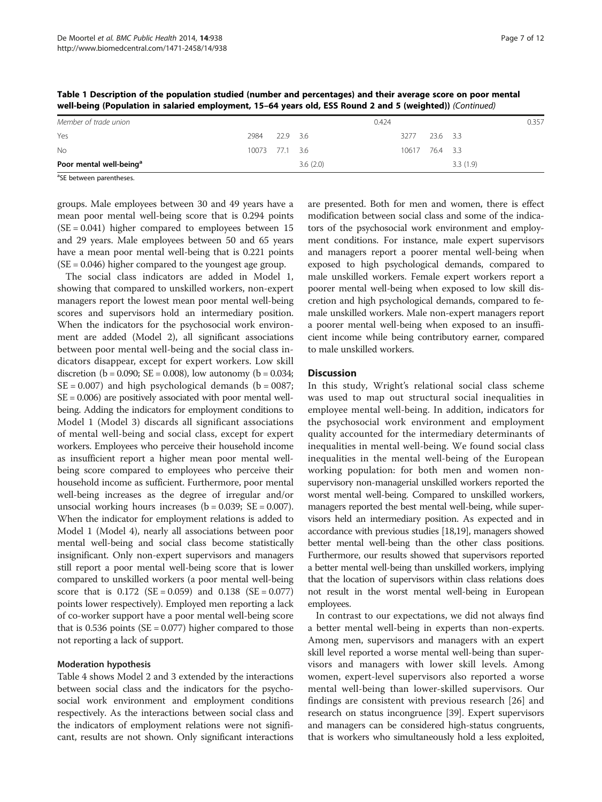| - -                                 |      |                |          |       |                |          | .        |       |
|-------------------------------------|------|----------------|----------|-------|----------------|----------|----------|-------|
| Member of trade union               |      |                |          | 0.424 |                |          |          | 0.357 |
| Yes                                 | 2984 |                | 22.9 3.6 |       | 3277           | 23.6 3.3 |          |       |
| <b>No</b>                           |      | 10073 77.1 3.6 |          |       | 10617 76.4 3.3 |          |          |       |
| Poor mental well-being <sup>a</sup> |      |                | 3.6(2.0) |       |                |          | 3.3(1.9) |       |
|                                     |      |                |          |       |                |          |          |       |

Table 1 Description of the population studied (number and percentages) and their average score on poor mental well-being (Population in salaried employment, 15–64 years old, ESS Round 2 and 5 (weighted)) (Continued)

<sup>a</sup>SE between parentheses.

groups. Male employees between 30 and 49 years have a mean poor mental well-being score that is 0.294 points  $(SE = 0.041)$  higher compared to employees between 15 and 29 years. Male employees between 50 and 65 years have a mean poor mental well-being that is 0.221 points  $(SE = 0.046)$  higher compared to the youngest age group.

The social class indicators are added in Model 1, showing that compared to unskilled workers, non-expert managers report the lowest mean poor mental well-being scores and supervisors hold an intermediary position. When the indicators for the psychosocial work environment are added (Model 2), all significant associations between poor mental well-being and the social class indicators disappear, except for expert workers. Low skill discretion (b = 0.090; SE = 0.008), low autonomy (b = 0.034;  $SE = 0.007$ ) and high psychological demands ( $b = 0087$ ;  $SE = 0.006$ ) are positively associated with poor mental wellbeing. Adding the indicators for employment conditions to Model 1 (Model 3) discards all significant associations of mental well-being and social class, except for expert workers. Employees who perceive their household income as insufficient report a higher mean poor mental wellbeing score compared to employees who perceive their household income as sufficient. Furthermore, poor mental well-being increases as the degree of irregular and/or unsocial working hours increases  $(b = 0.039; SE = 0.007)$ . When the indicator for employment relations is added to Model 1 (Model 4), nearly all associations between poor mental well-being and social class become statistically insignificant. Only non-expert supervisors and managers still report a poor mental well-being score that is lower compared to unskilled workers (a poor mental well-being score that is  $0.172$  (SE = 0.059) and  $0.138$  (SE = 0.077) points lower respectively). Employed men reporting a lack of co-worker support have a poor mental well-being score that is 0.536 points ( $SE = 0.077$ ) higher compared to those not reporting a lack of support.

#### Moderation hypothesis

Table [4](#page-9-0) shows Model 2 and 3 extended by the interactions between social class and the indicators for the psychosocial work environment and employment conditions respectively. As the interactions between social class and the indicators of employment relations were not significant, results are not shown. Only significant interactions are presented. Both for men and women, there is effect modification between social class and some of the indicators of the psychosocial work environment and employment conditions. For instance, male expert supervisors and managers report a poorer mental well-being when exposed to high psychological demands, compared to male unskilled workers. Female expert workers report a poorer mental well-being when exposed to low skill discretion and high psychological demands, compared to female unskilled workers. Male non-expert managers report a poorer mental well-being when exposed to an insufficient income while being contributory earner, compared to male unskilled workers.

#### **Discussion**

In this study, Wright's relational social class scheme was used to map out structural social inequalities in employee mental well-being. In addition, indicators for the psychosocial work environment and employment quality accounted for the intermediary determinants of inequalities in mental well-being. We found social class inequalities in the mental well-being of the European working population: for both men and women nonsupervisory non-managerial unskilled workers reported the worst mental well-being. Compared to unskilled workers, managers reported the best mental well-being, while supervisors held an intermediary position. As expected and in accordance with previous studies [\[18,19\]](#page-11-0), managers showed better mental well-being than the other class positions. Furthermore, our results showed that supervisors reported a better mental well-being than unskilled workers, implying that the location of supervisors within class relations does not result in the worst mental well-being in European employees.

In contrast to our expectations, we did not always find a better mental well-being in experts than non-experts. Among men, supervisors and managers with an expert skill level reported a worse mental well-being than supervisors and managers with lower skill levels. Among women, expert-level supervisors also reported a worse mental well-being than lower-skilled supervisors. Our findings are consistent with previous research [\[26](#page-11-0)] and research on status incongruence [\[39\]](#page-11-0). Expert supervisors and managers can be considered high-status congruents, that is workers who simultaneously hold a less exploited,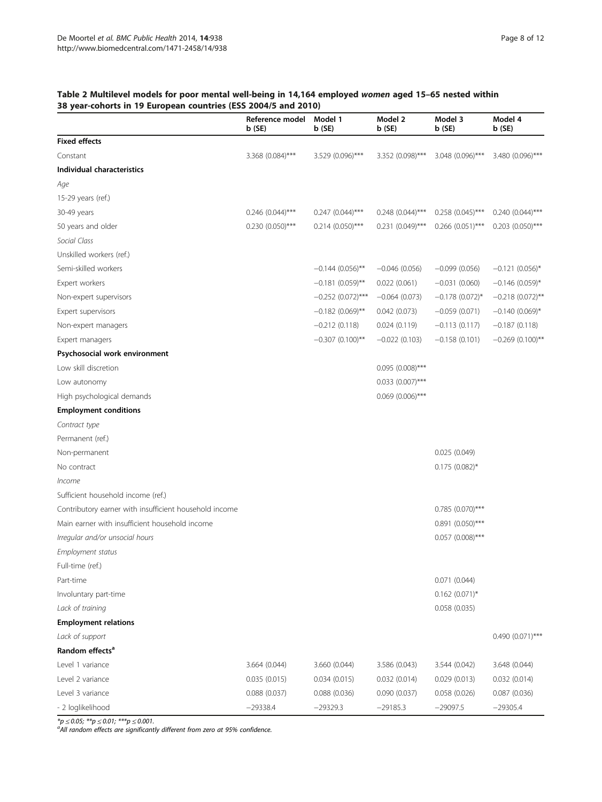## <span id="page-7-0"></span>Table 2 Multilevel models for poor mental well-being in 14,164 employed women aged 15–65 nested within 38 year-cohorts in 19 European countries (ESS 2004/5 and 2010)

|                                                        | Reference model<br>b (SE) | Model 1<br>b(SE)    | Model 2<br>b (SE)     | Model 3<br>b(SE)      | Model 4<br>b (SE)     |
|--------------------------------------------------------|---------------------------|---------------------|-----------------------|-----------------------|-----------------------|
| <b>Fixed effects</b>                                   |                           |                     |                       |                       |                       |
| Constant                                               | 3.368 (0.084)***          | 3.529 (0.096)***    | 3.352 (0.098)***      | 3.048 (0.096)***      | 3.480 (0.096)***      |
| Individual characteristics                             |                           |                     |                       |                       |                       |
| Age                                                    |                           |                     |                       |                       |                       |
| 15-29 years (ref.)                                     |                           |                     |                       |                       |                       |
| 30-49 years                                            | $0.246$ (0.044)***        | $0.247$ (0.044)***  | $0.248$ (0.044)***    | $0.258$ $(0.045)$ *** | $0.240(0.044)$ ***    |
| 50 years and older                                     | $0.230(0.050)$ ***        | $0.214 (0.050)$ *** | $0.231 (0.049)$ ***   | $0.266$ (0.051)***    | $0.203$ $(0.050)$ *** |
| Social Class                                           |                           |                     |                       |                       |                       |
| Unskilled workers (ref.)                               |                           |                     |                       |                       |                       |
| Semi-skilled workers                                   |                           | $-0.144(0.056)$ **  | $-0.046(0.056)$       | $-0.099(0.056)$       | $-0.121(0.056)$ *     |
| Expert workers                                         |                           | $-0.181(0.059)$ **  | 0.022(0.061)          | $-0.031(0.060)$       | $-0.146$ (0.059)*     |
| Non-expert supervisors                                 |                           | $-0.252(0.072)$ *** | $-0.064(0.073)$       | $-0.178$ (0.072)*     | $-0.218(0.072)$ **    |
| Expert supervisors                                     |                           | $-0.182(0.069)$ **  | 0.042(0.073)          | $-0.059(0.071)$       | $-0.140(0.069)$ *     |
| Non-expert managers                                    |                           | $-0.212(0.118)$     | 0.024(0.119)          | $-0.113(0.117)$       | $-0.187(0.118)$       |
| Expert managers                                        |                           | $-0.307(0.100)$ **  | $-0.022(0.103)$       | $-0.158(0.101)$       | $-0.269(0.100)$ **    |
| Psychosocial work environment                          |                           |                     |                       |                       |                       |
| Low skill discretion                                   |                           |                     | $0.095(0.008)$ ***    |                       |                       |
| Low autonomy                                           |                           |                     | $0.033$ $(0.007)$ *** |                       |                       |
| High psychological demands                             |                           |                     | $0.069$ (0.006)***    |                       |                       |
| <b>Employment conditions</b>                           |                           |                     |                       |                       |                       |
| Contract type                                          |                           |                     |                       |                       |                       |
| Permanent (ref.)                                       |                           |                     |                       |                       |                       |
| Non-permanent                                          |                           |                     |                       | 0.025(0.049)          |                       |
| No contract                                            |                           |                     |                       | $0.175$ (0.082)*      |                       |
| Income                                                 |                           |                     |                       |                       |                       |
| Sufficient household income (ref.)                     |                           |                     |                       |                       |                       |
| Contributory earner with insufficient household income |                           |                     |                       | $0.785(0.070)$ ***    |                       |
| Main earner with insufficient household income         |                           |                     |                       | $0.891(0.050)$ ***    |                       |
| Irregular and/or unsocial hours                        |                           |                     |                       | $0.057$ (0.008)***    |                       |
| Employment status                                      |                           |                     |                       |                       |                       |
| Full-time (ref.)                                       |                           |                     |                       |                       |                       |
| Part-time                                              |                           |                     |                       | 0.071(0.044)          |                       |
| Involuntary part-time                                  |                           |                     |                       | $0.162$ (0.071)*      |                       |
| Lack of training                                       |                           |                     |                       | 0.058(0.035)          |                       |
| <b>Employment relations</b>                            |                           |                     |                       |                       |                       |
| Lack of support                                        |                           |                     |                       |                       | 0.490 (0.071)***      |
| Random effects <sup>a</sup>                            |                           |                     |                       |                       |                       |
| Level 1 variance                                       | 3.664 (0.044)             | 3.660 (0.044)       | 3.586 (0.043)         | 3.544 (0.042)         | 3.648 (0.044)         |
| Level 2 variance                                       | 0.035(0.015)              | 0.034(0.015)        | 0.032(0.014)          | 0.029(0.013)          | 0.032(0.014)          |
| Level 3 variance                                       | 0.088(0.037)              | 0.088(0.036)        | 0.090(0.037)          | 0.058(0.026)          | 0.087(0.036)          |
| - 2 loglikelihood                                      | $-29338.4$                | $-29329.3$          | $-29185.3$            | $-29097.5$            | $-29305.4$            |

\*p ≤ 0.05; \*\*p ≤ 0.01; \*\*\*p ≤ 0.001.<br><sup>a</sup>All random effects are significantly different from zero at 95% confidence.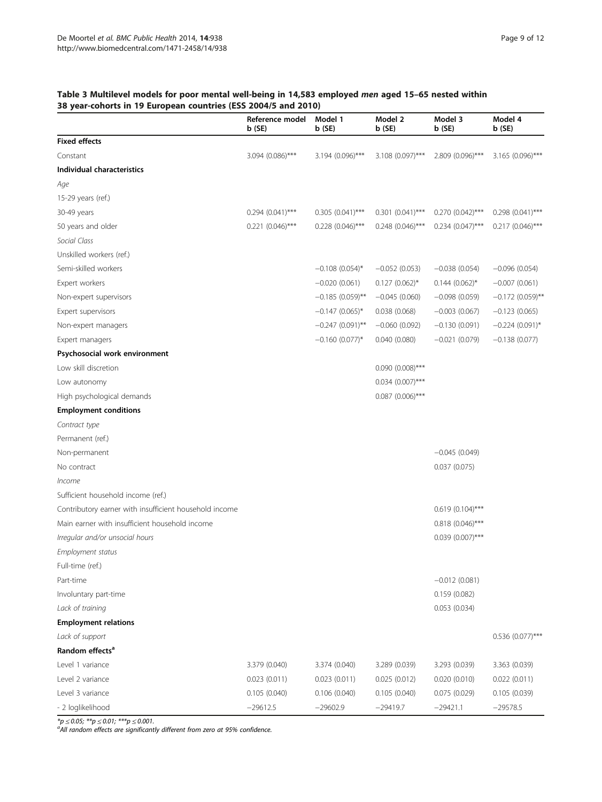## <span id="page-8-0"></span>Table 3 Multilevel models for poor mental well-being in 14,583 employed men aged 15–65 nested within 38 year-cohorts in 19 European countries (ESS 2004/5 and 2010)

| ca: conorto in 12 Earop<br>.u., comunica               | Reference model<br>b(SE) | Model 1<br>b(SE)      | Model 2<br>b(SE)    | Model 3<br>b(SE)    | Model 4<br>b(SE)   |
|--------------------------------------------------------|--------------------------|-----------------------|---------------------|---------------------|--------------------|
| <b>Fixed effects</b>                                   |                          |                       |                     |                     |                    |
| Constant                                               | $3.094$ (0.086)***       | 3.194 (0.096)***      | 3.108 (0.097)***    | 2.809 (0.096)***    | 3.165 (0.096)***   |
| Individual characteristics                             |                          |                       |                     |                     |                    |
| Age                                                    |                          |                       |                     |                     |                    |
| 15-29 years (ref.)                                     |                          |                       |                     |                     |                    |
| 30-49 years                                            | $0.294 (0.041)$ ***      | $0.305(0.041)$ ***    | $0.301 (0.041)$ *** | $0.270(0.042)$ ***  | $0.298(0.041)$ *** |
| 50 years and older                                     | $0.221 (0.046)$ ***      | $0.228$ $(0.046)$ *** | $0.248(0.046)$ ***  | $0.234 (0.047)$ *** | $0.217(0.046)$ *** |
| Social Class                                           |                          |                       |                     |                     |                    |
| Unskilled workers (ref.)                               |                          |                       |                     |                     |                    |
| Semi-skilled workers                                   |                          | $-0.108$ (0.054)*     | $-0.052(0.053)$     | $-0.038(0.054)$     | $-0.096(0.054)$    |
| Expert workers                                         |                          | $-0.020(0.061)$       | $0.127(0.062)^{*}$  | $0.144(0.062)$ *    | $-0.007(0.061)$    |
| Non-expert supervisors                                 |                          | $-0.185(0.059)$ **    | $-0.045(0.060)$     | $-0.098(0.059)$     | $-0.172(0.059)$ ** |
| Expert supervisors                                     |                          | $-0.147(0.065)$ *     | 0.038(0.068)        | $-0.003(0.067)$     | $-0.123(0.065)$    |
| Non-expert managers                                    |                          | $-0.247(0.091)$ **    | $-0.060(0.092)$     | $-0.130(0.091)$     | $-0.224(0.091)$ *  |
| Expert managers                                        |                          | $-0.160(0.077)$ *     | 0.040(0.080)        | $-0.021(0.079)$     | $-0.138(0.077)$    |
| Psychosocial work environment                          |                          |                       |                     |                     |                    |
| Low skill discretion                                   |                          |                       | $0.090(0.008)$ ***  |                     |                    |
| Low autonomy                                           |                          |                       | $0.034$ (0.007)***  |                     |                    |
| High psychological demands                             |                          |                       | $0.087$ (0.006)***  |                     |                    |
| <b>Employment conditions</b>                           |                          |                       |                     |                     |                    |
| Contract type                                          |                          |                       |                     |                     |                    |
| Permanent (ref.)                                       |                          |                       |                     |                     |                    |
| Non-permanent                                          |                          |                       |                     | $-0.045(0.049)$     |                    |
| No contract                                            |                          |                       |                     | 0.037(0.075)        |                    |
| <i>Income</i>                                          |                          |                       |                     |                     |                    |
| Sufficient household income (ref.)                     |                          |                       |                     |                     |                    |
| Contributory earner with insufficient household income |                          |                       |                     | $0.619(0.104)$ ***  |                    |
| Main earner with insufficient household income         |                          |                       |                     | $0.818(0.046)$ ***  |                    |
| Irregular and/or unsocial hours                        |                          |                       |                     | $0.039(0.007)$ ***  |                    |
| Employment status                                      |                          |                       |                     |                     |                    |
| Full-time (ref.)                                       |                          |                       |                     |                     |                    |
| Part-time                                              |                          |                       |                     | $-0.012(0.081)$     |                    |
| Involuntary part-time                                  |                          |                       |                     | 0.159(0.082)        |                    |
| Lack of training                                       |                          |                       |                     | 0.053(0.034)        |                    |
| <b>Employment relations</b>                            |                          |                       |                     |                     |                    |
| Lack of support                                        |                          |                       |                     |                     | 0.536 (0.077)***   |
| Random effects <sup>a</sup>                            |                          |                       |                     |                     |                    |
| Level 1 variance                                       | 3.379 (0.040)            | 3.374 (0.040)         | 3.289 (0.039)       | 3.293 (0.039)       | 3.363 (0.039)      |
| Level 2 variance                                       | 0.023(0.011)             | 0.023(0.011)          | 0.025(0.012)        | 0.020(0.010)        | 0.022(0.011)       |
| Level 3 variance                                       | 0.105(0.040)             | 0.106(0.040)          | 0.105(0.040)        | 0.075(0.029)        | 0.105(0.039)       |
| - 2 loglikelihood                                      | $-29612.5$               | $-29602.9$            | $-29419.7$          | $-29421.1$          | $-29578.5$         |

\*p ≤ 0.05; \*\*p ≤ 0.01; \*\*\*p ≤ 0.001.<br><sup>a</sup>All random effects are significantly different from zero at 95% confidence.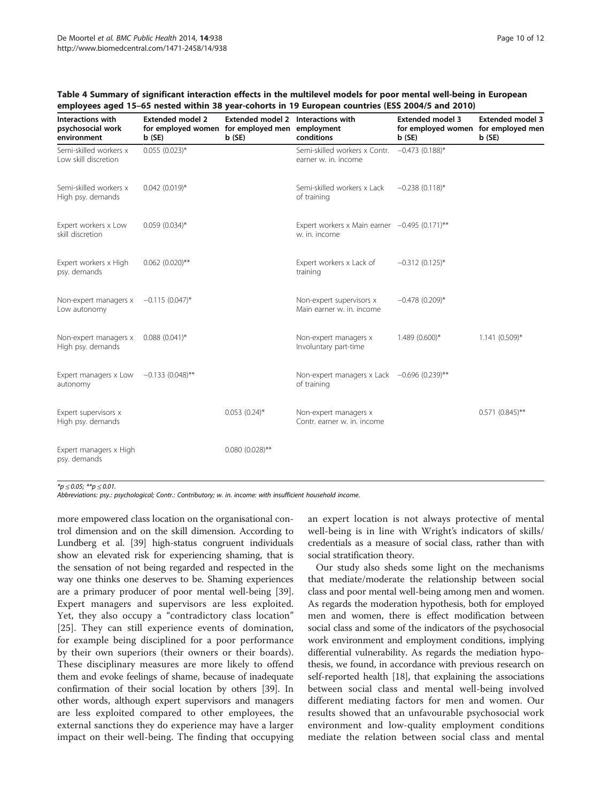| Interactions with<br>psychosocial work<br>environment     | <b>Extended model 2</b><br>for employed women for employed men employment<br>b(SE) | Extended model 2 Interactions with<br>b (SE) | conditions                                                       | <b>Extended model 3</b><br>for employed women for employed men<br>b(SE) | <b>Extended model 3</b><br>b(SE) |
|-----------------------------------------------------------|------------------------------------------------------------------------------------|----------------------------------------------|------------------------------------------------------------------|-------------------------------------------------------------------------|----------------------------------|
| Semi-skilled workers x<br>Low skill discretion            | $0.055(0.023)^{*}$                                                                 |                                              | Semi-skilled workers x Contr.<br>earner w. in. income            | $-0.473(0.188)$ *                                                       |                                  |
| Semi-skilled workers x<br>High psy. demands               | $0.042(0.019)*$                                                                    |                                              | Semi-skilled workers x Lack<br>of training                       | $-0.238(0.118)$ *                                                       |                                  |
| Expert workers x Low<br>skill discretion                  | $0.059(0.034)$ *                                                                   |                                              | Expert workers x Main earner $-0.495$ (0.171)**<br>w. in. income |                                                                         |                                  |
| Expert workers x High<br>psy. demands                     | $0.062(0.020)$ **                                                                  |                                              | Expert workers x Lack of<br>training                             | $-0.312(0.125)$ *                                                       |                                  |
| Non-expert managers $x = -0.115$ (0.047)*<br>Low autonomy |                                                                                    |                                              | Non-expert supervisors x<br>Main earner w. in. income            | $-0.478(0.209)$ *                                                       |                                  |
| Non-expert managers x 0.088 (0.041)*<br>High psy. demands |                                                                                    |                                              | Non-expert managers x<br>Involuntary part-time                   | $1.489(0.600)*$                                                         | $1.141(0.509)*$                  |
| Expert managers x Low $-0.133(0.048)$ **<br>autonomy      |                                                                                    |                                              | Non-expert managers x Lack -0.696 (0.239)**<br>of training       |                                                                         |                                  |
| Expert supervisors x<br>High psy. demands                 |                                                                                    | $0.053(0.24)$ *                              | Non-expert managers x<br>Contr. earner w. in. income             |                                                                         | $0.571$ $(0.845)$ **             |
| Expert managers x High<br>psy. demands                    |                                                                                    | $0.080(0.028)$ **                            |                                                                  |                                                                         |                                  |

#### <span id="page-9-0"></span>Table 4 Summary of significant interaction effects in the multilevel models for poor mental well-being in European employees aged 15–65 nested within 38 year-cohorts in 19 European countries (ESS 2004/5 and 2010)

 $*_{p \leq 0.05; **p \leq 0.01.}$ 

Abbreviations: psy.: psychological; Contr.: Contributory; w. in. income: with insufficient household income.

more empowered class location on the organisational control dimension and on the skill dimension. According to Lundberg et al. [\[39\]](#page-11-0) high-status congruent individuals show an elevated risk for experiencing shaming, that is the sensation of not being regarded and respected in the way one thinks one deserves to be. Shaming experiences are a primary producer of poor mental well-being [[39](#page-11-0)]. Expert managers and supervisors are less exploited. Yet, they also occupy a "contradictory class location" [[25\]](#page-11-0). They can still experience events of domination, for example being disciplined for a poor performance by their own superiors (their owners or their boards). These disciplinary measures are more likely to offend them and evoke feelings of shame, because of inadequate confirmation of their social location by others [\[39\]](#page-11-0). In other words, although expert supervisors and managers are less exploited compared to other employees, the external sanctions they do experience may have a larger impact on their well-being. The finding that occupying an expert location is not always protective of mental well-being is in line with Wright's indicators of skills/ credentials as a measure of social class, rather than with social stratification theory.

Our study also sheds some light on the mechanisms that mediate/moderate the relationship between social class and poor mental well-being among men and women. As regards the moderation hypothesis, both for employed men and women, there is effect modification between social class and some of the indicators of the psychosocial work environment and employment conditions, implying differential vulnerability. As regards the mediation hypothesis, we found, in accordance with previous research on self-reported health [\[18\]](#page-11-0), that explaining the associations between social class and mental well-being involved different mediating factors for men and women. Our results showed that an unfavourable psychosocial work environment and low-quality employment conditions mediate the relation between social class and mental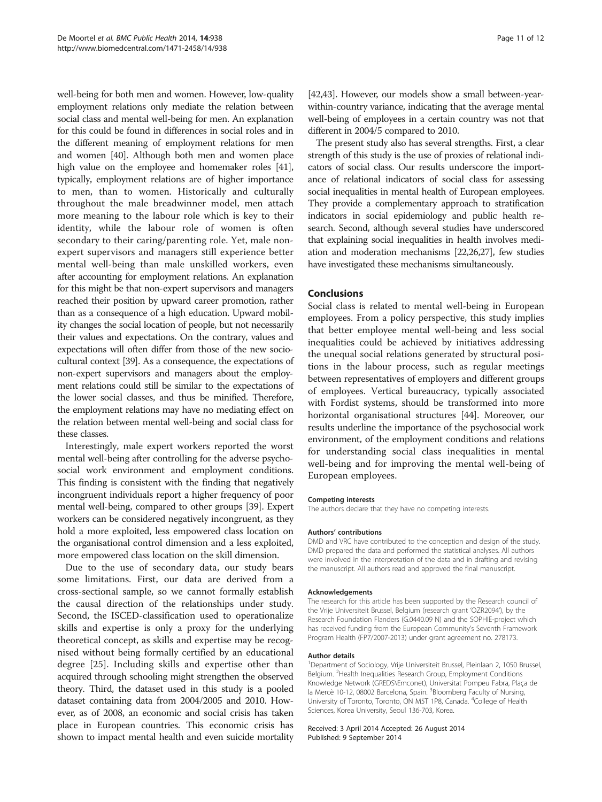well-being for both men and women. However, low-quality employment relations only mediate the relation between social class and mental well-being for men. An explanation for this could be found in differences in social roles and in the different meaning of employment relations for men and women [\[40\]](#page-11-0). Although both men and women place high value on the employee and homemaker roles [\[41](#page-11-0)], typically, employment relations are of higher importance to men, than to women. Historically and culturally throughout the male breadwinner model, men attach more meaning to the labour role which is key to their identity, while the labour role of women is often secondary to their caring/parenting role. Yet, male nonexpert supervisors and managers still experience better mental well-being than male unskilled workers, even after accounting for employment relations. An explanation for this might be that non-expert supervisors and managers reached their position by upward career promotion, rather than as a consequence of a high education. Upward mobility changes the social location of people, but not necessarily their values and expectations. On the contrary, values and expectations will often differ from those of the new sociocultural context [\[39\]](#page-11-0). As a consequence, the expectations of non-expert supervisors and managers about the employment relations could still be similar to the expectations of the lower social classes, and thus be minified. Therefore, the employment relations may have no mediating effect on the relation between mental well-being and social class for these classes.

Interestingly, male expert workers reported the worst mental well-being after controlling for the adverse psychosocial work environment and employment conditions. This finding is consistent with the finding that negatively incongruent individuals report a higher frequency of poor mental well-being, compared to other groups [\[39\]](#page-11-0). Expert workers can be considered negatively incongruent, as they hold a more exploited, less empowered class location on the organisational control dimension and a less exploited, more empowered class location on the skill dimension.

Due to the use of secondary data, our study bears some limitations. First, our data are derived from a cross-sectional sample, so we cannot formally establish the causal direction of the relationships under study. Second, the ISCED-classification used to operationalize skills and expertise is only a proxy for the underlying theoretical concept, as skills and expertise may be recognised without being formally certified by an educational degree [\[25](#page-11-0)]. Including skills and expertise other than acquired through schooling might strengthen the observed theory. Third, the dataset used in this study is a pooled dataset containing data from 2004/2005 and 2010. However, as of 2008, an economic and social crisis has taken place in European countries. This economic crisis has shown to impact mental health and even suicide mortality [[42,43\]](#page-11-0). However, our models show a small between-yearwithin-country variance, indicating that the average mental well-being of employees in a certain country was not that different in 2004/5 compared to 2010.

The present study also has several strengths. First, a clear strength of this study is the use of proxies of relational indicators of social class. Our results underscore the importance of relational indicators of social class for assessing social inequalities in mental health of European employees. They provide a complementary approach to stratification indicators in social epidemiology and public health research. Second, although several studies have underscored that explaining social inequalities in health involves mediation and moderation mechanisms [\[22,26,27\]](#page-11-0), few studies have investigated these mechanisms simultaneously.

#### Conclusions

Social class is related to mental well-being in European employees. From a policy perspective, this study implies that better employee mental well-being and less social inequalities could be achieved by initiatives addressing the unequal social relations generated by structural positions in the labour process, such as regular meetings between representatives of employers and different groups of employees. Vertical bureaucracy, typically associated with Fordist systems, should be transformed into more horizontal organisational structures [\[44\]](#page-11-0). Moreover, our results underline the importance of the psychosocial work environment, of the employment conditions and relations for understanding social class inequalities in mental well-being and for improving the mental well-being of European employees.

#### Competing interests

The authors declare that they have no competing interests.

#### Authors' contributions

DMD and VRC have contributed to the conception and design of the study. DMD prepared the data and performed the statistical analyses. All authors were involved in the interpretation of the data and in drafting and revising the manuscript. All authors read and approved the final manuscript.

#### Acknowledgements

The research for this article has been supported by the Research council of the Vrije Universiteit Brussel, Belgium (research grant 'OZR2094'), by the Research Foundation Flanders (G.0440.09 N) and the SOPHIE-project which has received funding from the European Community's Seventh Framework Program Health (FP7/2007-2013) under grant agreement no. 278173.

#### Author details

<sup>1</sup>Department of Sociology, Vrije Universiteit Brussel, Pleinlaan 2, 1050 Brussel, Belgium. <sup>2</sup> Health Inequalities Research Group, Employment Conditions Knowledge Network (GREDS\Emconet), Universitat Pompeu Fabra, Plaça de la Mercè 10-12, 08002 Barcelona, Spain. <sup>3</sup> Bloomberg Faculty of Nursing University of Toronto, Toronto, ON M5T 1P8, Canada. <sup>4</sup>College of Health Sciences, Korea University, Seoul 136-703, Korea.

#### Received: 3 April 2014 Accepted: 26 August 2014 Published: 9 September 2014